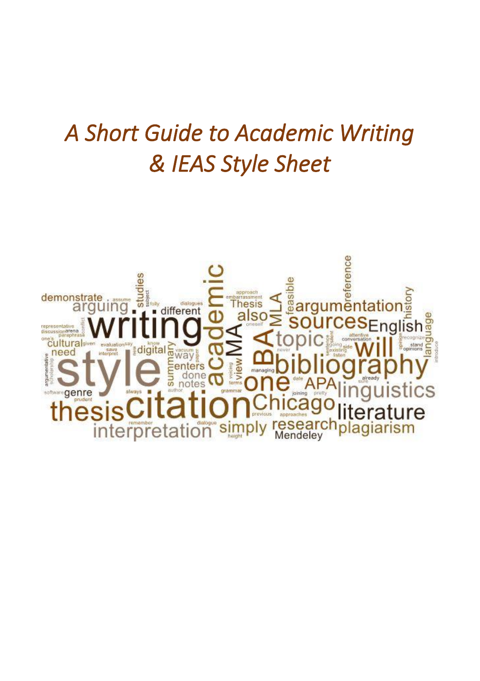# *A Short Guide to Academic Writing & IEAS Style Sheet*

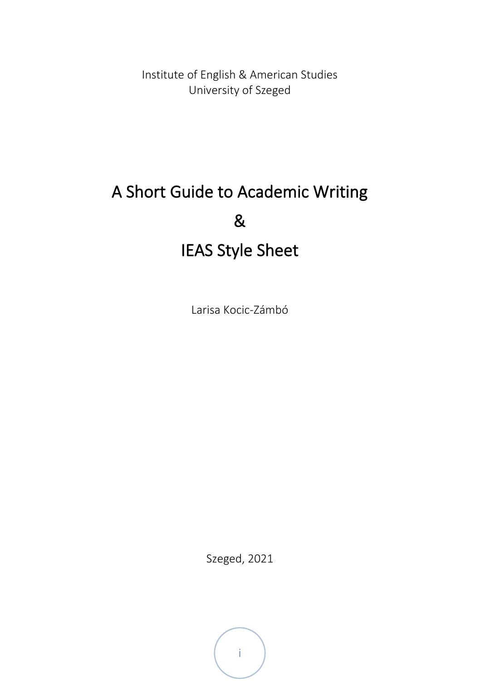Institute of English & American Studies University of Szeged

## A Short Guide to Academic Writing & IEAS Style Sheet

Larisa Kocic-Zámbó

Szeged, 2021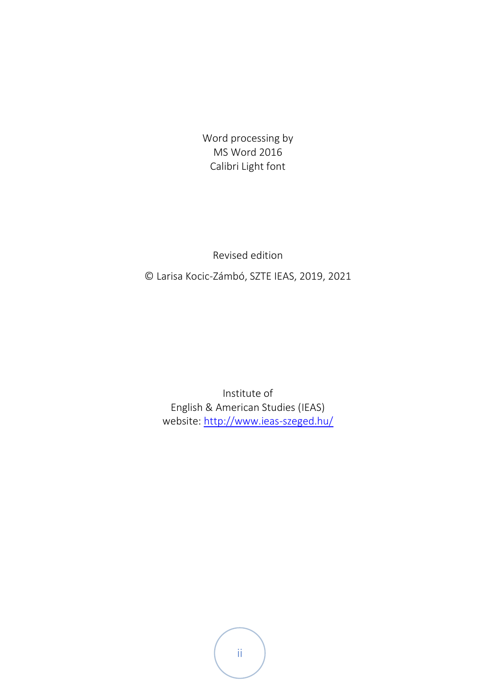Word processing by MS Word 2016 Calibri Light font

Revised edition

© Larisa Kocic-Zámbó, SZTE IEAS, 2019, 2021

Institute of English & American Studies (IEAS) website[: http://www.ieas-szeged.hu/](http://www.ieas-szeged.hu/)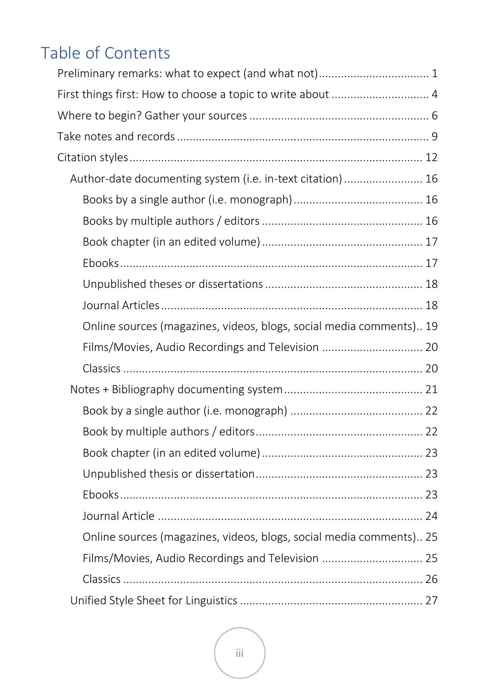## Table of Contents

| Preliminary remarks: what to expect (and what not) 1                |  |
|---------------------------------------------------------------------|--|
| First things first: How to choose a topic to write about  4         |  |
|                                                                     |  |
|                                                                     |  |
|                                                                     |  |
| Author-date documenting system (i.e. in-text citation)  16          |  |
|                                                                     |  |
|                                                                     |  |
|                                                                     |  |
|                                                                     |  |
|                                                                     |  |
|                                                                     |  |
| Online sources (magazines, videos, blogs, social media comments) 19 |  |
| Films/Movies, Audio Recordings and Television  20                   |  |
|                                                                     |  |
|                                                                     |  |
|                                                                     |  |
|                                                                     |  |
|                                                                     |  |
|                                                                     |  |
|                                                                     |  |
|                                                                     |  |
| Online sources (magazines, videos, blogs, social media comments) 25 |  |
| Films/Movies, Audio Recordings and Television  25                   |  |
|                                                                     |  |
|                                                                     |  |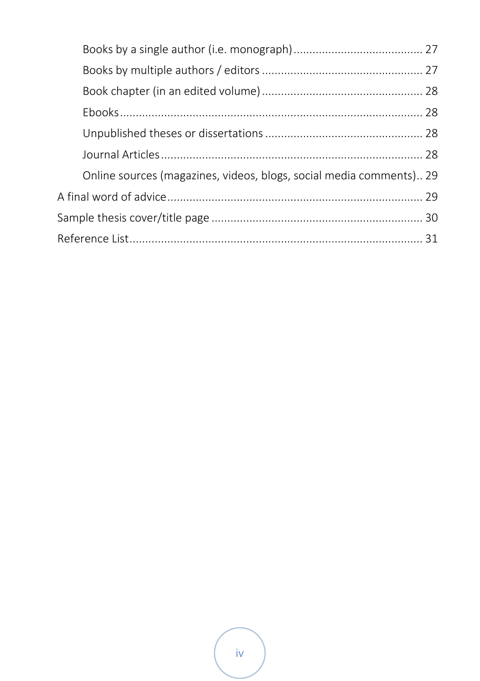|  | Online sources (magazines, videos, blogs, social media comments) 29 |  |  |
|--|---------------------------------------------------------------------|--|--|
|  |                                                                     |  |  |
|  |                                                                     |  |  |
|  |                                                                     |  |  |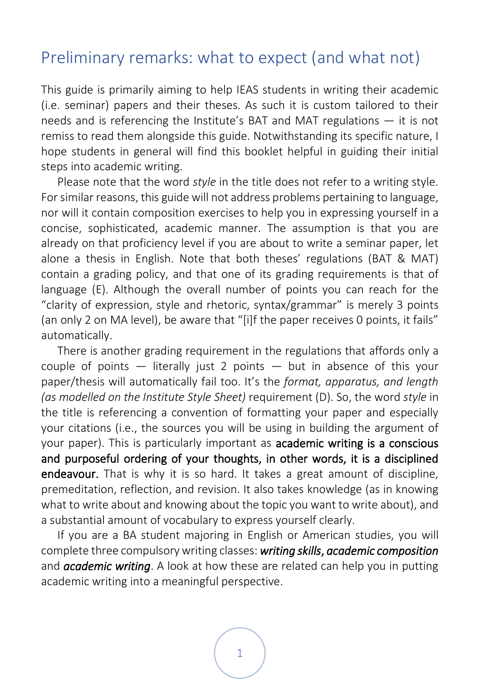## <span id="page-5-0"></span>Preliminary remarks: what to expect (and what not)

This guide is primarily aiming to help IEAS students in writing their academic (i.e. seminar) papers and their theses. As such it is custom tailored to their needs and is referencing the Institute's BAT and MAT regulations — it is not remiss to read them alongside this guide. Notwithstanding its specific nature, I hope students in general will find this booklet helpful in guiding their initial steps into academic writing.

Please note that the word *style* in the title does not refer to a writing style. For similar reasons, this guide will not address problems pertaining to language, nor will it contain composition exercises to help you in expressing yourself in a concise, sophisticated, academic manner. The assumption is that you are already on that proficiency level if you are about to write a seminar paper, let alone a thesis in English. Note that both theses' regulations (BAT & MAT) contain a grading policy, and that one of its grading requirements is that of language (E). Although the overall number of points you can reach for the "clarity of expression, style and rhetoric, syntax/grammar" is merely 3 points (an only 2 on MA level), be aware that "[i]f the paper receives 0 points, it fails" automatically.

There is another grading requirement in the regulations that affords only a couple of points  $-$  literally just 2 points  $-$  but in absence of this your paper/thesis will automatically fail too. It's the *format, apparatus, and length (as modelled on the Institute Style Sheet)* requirement (D). So, the word *style* in the title is referencing a convention of formatting your paper and especially your citations (i.e., the sources you will be using in building the argument of your paper). This is particularly important as academic writing is a conscious and purposeful ordering of your thoughts, in other words, it is a disciplined endeavour. That is why it is so hard. It takes a great amount of discipline, premeditation, reflection, and revision. It also takes knowledge (as in knowing what to write about and knowing about the topic you want to write about), and a substantial amount of vocabulary to express yourself clearly.

If you are a BA student majoring in English or American studies, you will complete three compulsory writing classes: *writing skills*, *academic composition* and *academic writing*. A look at how these are related can help you in putting academic writing into a meaningful perspective.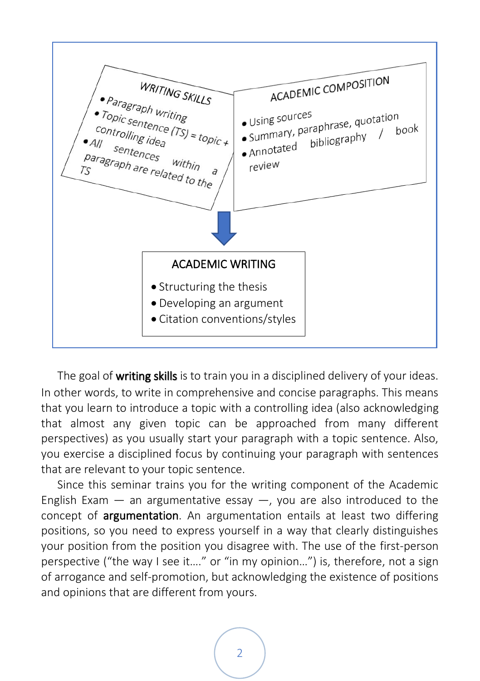

The goal of writing skills is to train you in a disciplined delivery of your ideas. In other words, to write in comprehensive and concise paragraphs. This means that you learn to introduce a topic with a controlling idea (also acknowledging that almost any given topic can be approached from many different perspectives) as you usually start your paragraph with a topic sentence. Also, you exercise a disciplined focus by continuing your paragraph with sentences that are relevant to your topic sentence.

Since this seminar trains you for the writing component of the Academic English Exam  $-$  an argumentative essay  $-$ , you are also introduced to the concept of argumentation. An argumentation entails at least two differing positions, so you need to express yourself in a way that clearly distinguishes your position from the position you disagree with. The use of the first-person perspective ("the way I see it…." or "in my opinion…") is, therefore, not a sign of arrogance and self-promotion, but acknowledging the existence of positions and opinions that are different from yours.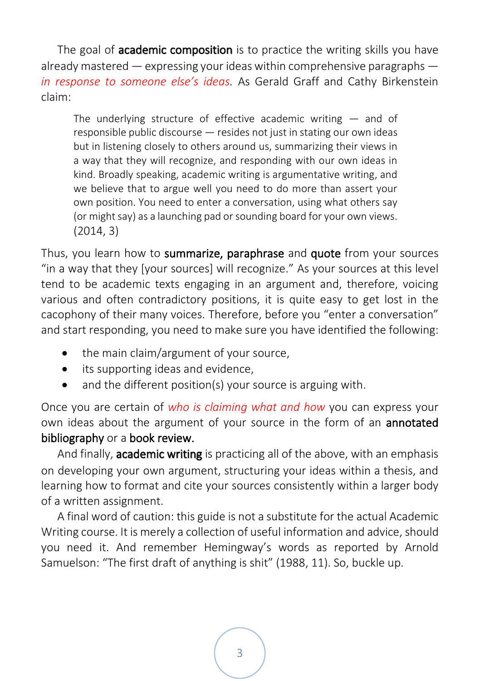The goal of **academic composition** is to practice the writing skills you have already mastered  $-$  expressing your ideas within comprehensive paragraphs  $$ *in response to someone else's ideas.* As Gerald Graff and Cathy Birkenstein claim:

The underlying structure of effective academic writing  $-$  and of responsible public discourse — resides not just in stating our own ideas but in listening closely to others around us, summarizing their views in a way that they will recognize, and responding with our own ideas in kind. Broadly speaking, academic writing is argumentative writing, and we believe that to argue well you need to do more than assert your own position. You need to enter a conversation, using what others say (or might say) as a launching pad or sounding board for your own views. (2014, 3)

Thus, you learn how to summarize, paraphrase and quote from your sources "in a way that they [your sources] will recognize." As your sources at this level tend to be academic texts engaging in an argument and, therefore, voicing various and often contradictory positions, it is quite easy to get lost in the cacophony of their many voices. Therefore, before you "enter a conversation" and start responding, you need to make sure you have identified the following:

- the main claim/argument of your source,
- its supporting ideas and evidence,
- and the different position(s) your source is arguing with.

Once you are certain of *who is claiming what and how* you can express your own ideas about the argument of your source in the form of an **annotated** bibliography or a book review.

And finally, **academic writing** is practicing all of the above, with an emphasis on developing your own argument, structuring your ideas within a thesis, and learning how to format and cite your sources consistently within a larger body of a written assignment.

A final word of caution: this guide is not a substitute for the actual Academic Writing course. It is merely a collection of useful information and advice, should you need it. And remember Hemingway's words as reported by Arnold Samuelson: "The first draft of anything is shit" (1988, 11). So, buckle up.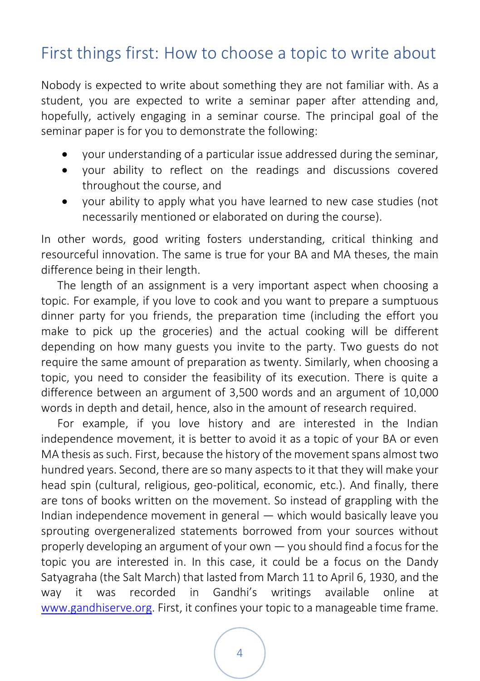## <span id="page-8-0"></span>First things first: How to choose a topic to write about

Nobody is expected to write about something they are not familiar with. As a student, you are expected to write a seminar paper after attending and, hopefully, actively engaging in a seminar course. The principal goal of the seminar paper is for you to demonstrate the following:

- your understanding of a particular issue addressed during the seminar,
- your ability to reflect on the readings and discussions covered throughout the course, and
- your ability to apply what you have learned to new case studies (not necessarily mentioned or elaborated on during the course).

In other words, good writing fosters understanding, critical thinking and resourceful innovation. The same is true for your BA and MA theses, the main difference being in their length.

The length of an assignment is a very important aspect when choosing a topic. For example, if you love to cook and you want to prepare a sumptuous dinner party for you friends, the preparation time (including the effort you make to pick up the groceries) and the actual cooking will be different depending on how many guests you invite to the party. Two guests do not require the same amount of preparation as twenty. Similarly, when choosing a topic, you need to consider the feasibility of its execution. There is quite a difference between an argument of 3,500 words and an argument of 10,000 words in depth and detail, hence, also in the amount of research required.

For example, if you love history and are interested in the Indian independence movement, it is better to avoid it as a topic of your BA or even MA thesis as such. First, because the history of the movement spans almost two hundred years. Second, there are so many aspects to it that they will make your head spin (cultural, religious, geo-political, economic, etc.). And finally, there are tons of books written on the movement. So instead of grappling with the Indian independence movement in general — which would basically leave you sprouting overgeneralized statements borrowed from your sources without properly developing an argument of your own — you should find a focus for the topic you are interested in. In this case, it could be a focus on the Dandy Satyagraha (the Salt March) that lasted from March 11 to April 6, 1930, and the way it was recorded in Gandhi's writings available online at [www.gandhiserve.org.](http://www.gandhiserve.org/) First, it confines your topic to a manageable time frame.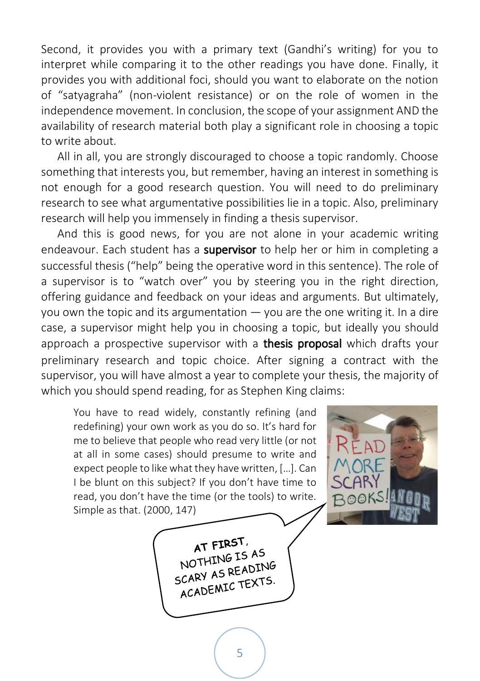Second, it provides you with a primary text (Gandhi's writing) for you to interpret while comparing it to the other readings you have done. Finally, it provides you with additional foci, should you want to elaborate on the notion of "satyagraha" (non-violent resistance) or on the role of women in the independence movement. In conclusion, the scope of your assignment AND the availability of research material both play a significant role in choosing a topic to write about.

All in all, you are strongly discouraged to choose a topic randomly. Choose something that interests you, but remember, having an interest in something is not enough for a good research question. You will need to do preliminary research to see what argumentative possibilities lie in a topic. Also, preliminary research will help you immensely in finding a thesis supervisor.

And this is good news, for you are not alone in your academic writing endeavour. Each student has a supervisor to help her or him in completing a successful thesis ("help" being the operative word in this sentence). The role of a supervisor is to "watch over" you by steering you in the right direction, offering guidance and feedback on your ideas and arguments. But ultimately, you own the topic and its argumentation — you are the one writing it. In a dire case, a supervisor might help you in choosing a topic, but ideally you should approach a prospective supervisor with a **thesis proposal** which drafts your preliminary research and topic choice. After signing a contract with the supervisor, you will have almost a year to complete your thesis, the majority of which you should spend reading, for as Stephen King claims:

You have to read widely, constantly refining (and redefining) your own work as you do so. It's hard for me to believe that people who read very little (or not at all in some cases) should presume to write and expect people to like what they have written, […]. Can I be blunt on this subject? If you don't have time to read, you don't have the time (or the tools) to write. Simple as that. (2000, 147)



AT FIRST. AT FIRST AS<br>NOTHING IS AS NOTHING ISTING<br>SCARY AS READING CARY AS REFIGURES.<br>ACADEMIC TEXTS.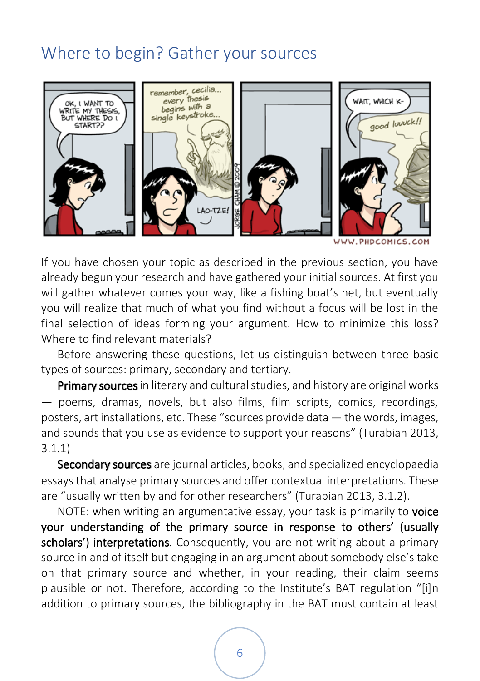## <span id="page-10-0"></span>Where to begin? Gather your sources



WWW.PHDCOMICS.COM

If you have chosen your topic as described in the previous section, you have already begun your research and have gathered your initial sources. At first you will gather whatever comes your way, like a fishing boat's net, but eventually you will realize that much of what you find without a focus will be lost in the final selection of ideas forming your argument. How to minimize this loss? Where to find relevant materials?

Before answering these questions, let us distinguish between three basic types of sources: primary, secondary and tertiary.

**Primary sources** in literary and cultural studies, and history are original works — poems, dramas, novels, but also films, film scripts, comics, recordings, posters, art installations, etc. These "sources provide data — the words, images, and sounds that you use as evidence to support your reasons" (Turabian 2013, 3.1.1)

Secondary sources are journal articles, books, and specialized encyclopaedia essays that analyse primary sources and offer contextual interpretations. These are "usually written by and for other researchers" (Turabian 2013, 3.1.2).

NOTE: when writing an argumentative essay, your task is primarily to voice your understanding of the primary source in response to others' (usually scholars') interpretations. Consequently, you are not writing about a primary source in and of itself but engaging in an argument about somebody else's take on that primary source and whether, in your reading, their claim seems plausible or not. Therefore, according to the Institute's BAT regulation "[i]n addition to primary sources, the bibliography in the BAT must contain at least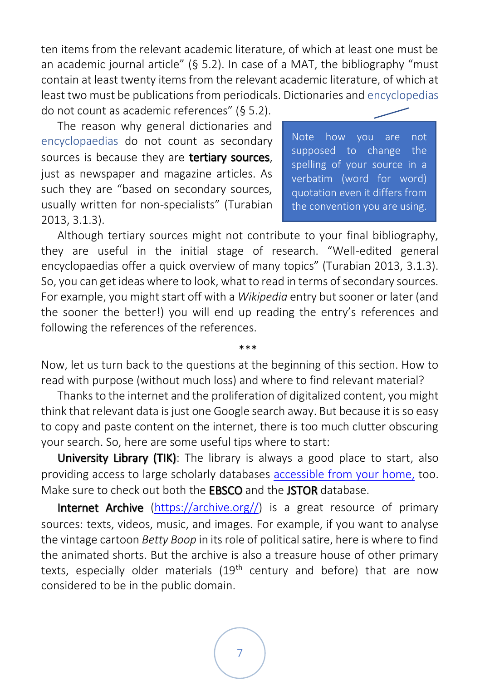ten items from the relevant academic literature, of which at least one must be an academic journal article" (§ 5.2). In case of a MAT, the bibliography "must contain at least twenty items from the relevant academic literature, of which at least two must be publications from periodicals. Dictionaries and encyclopedias

do not count as academic references" (§ 5.2). The reason why general dictionaries and encyclopaedias do not count as secondary sources is because they are tertiary sources, just as newspaper and magazine articles. As such they are "based on secondary sources, usually written for non-specialists" (Turabian 2013, 3.1.3).

Note how you are not supposed to change the spelling of your source in a verbatim (word for word) quotation even it differs from the convention you are using.

Although tertiary sources might not contribute to your final bibliography, they are useful in the initial stage of research. "Well-edited general encyclopaedias offer a quick overview of many topics" (Turabian 2013, 3.1.3). So, you can get ideas where to look, what to read in terms of secondary sources. For example, you might start off with a *Wikipedia* entry but sooner or later (and the sooner the better!) you will end up reading the entry's references and following the references of the references.

Now, let us turn back to the questions at the beginning of this section. How to read with purpose (without much loss) and where to find relevant material?

\*\*\*

Thanks to the internet and the proliferation of digitalized content, you might think that relevant data is just one Google search away. But because it is so easy to copy and paste content on the internet, there is too much clutter obscuring your search. So, here are some useful tips where to start:

University Library (TIK): The library is always a good place to start, also providing access to large scholarly databases [accessible from your home,](http://www.ek.szte.hu/english-online-resources-from-home/?lang=en) too. Make sure to check out both the **EBSCO** and the **JSTOR** database.

Internet Archive [\(https://archive.org//\)](https://archive.org/) is a great resource of primary sources: texts, videos, music, and images. For example, if you want to analyse the vintage cartoon *Betty Boop* in its role of political satire, here is where to find the animated shorts. But the archive is also a treasure house of other primary texts, especially older materials (19<sup>th</sup> century and before) that are now considered to be in the public domain.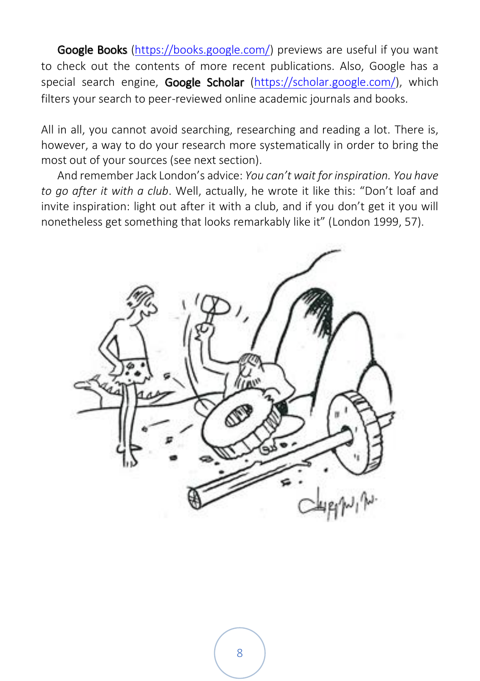Google Books [\(https://books.google.com/\)](https://books.google.com/) previews are useful if you want to check out the contents of more recent publications. Also, Google has a special search engine, Google Scholar [\(https://scholar.google.com/\)](https://scholar.google.com/), which filters your search to peer-reviewed online academic journals and books.

All in all, you cannot avoid searching, researching and reading a lot. There is, however, a way to do your research more systematically in order to bring the most out of your sources (see next section).

And remember Jack London's advice: *You can't wait for inspiration. You have to go after it with a club*. Well, actually, he wrote it like this: "Don't loaf and invite inspiration: light out after it with a club, and if you don't get it you will nonetheless get something that looks remarkably like it" (London 1999, 57).

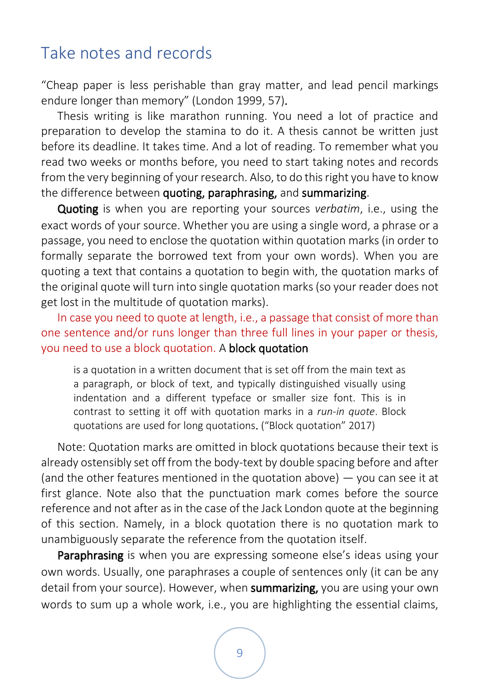### <span id="page-13-0"></span>Take notes and records

"Cheap paper is less perishable than gray matter, and lead pencil markings endure longer than memory" (London 1999, 57).

Thesis writing is like marathon running. You need a lot of practice and preparation to develop the stamina to do it. A thesis cannot be written just before its deadline. It takes time. And a lot of reading. To remember what you read two weeks or months before, you need to start taking notes and records from the very beginning of your research. Also, to do this right you have to know the difference between quoting, paraphrasing, and summarizing.

Quoting is when you are reporting your sources *verbatim*, i.e., using the exact words of your source. Whether you are using a single word, a phrase or a passage, you need to enclose the quotation within quotation marks (in order to formally separate the borrowed text from your own words). When you are quoting a text that contains a quotation to begin with, the quotation marks of the original quote will turn into single quotation marks(so your reader does not get lost in the multitude of quotation marks).

In case you need to quote at length, i.e., a passage that consist of more than one sentence and/or runs longer than three full lines in your paper or thesis, you need to use a block quotation. A block quotation

is a quotation in a written document that is set off from the main text as a paragraph, or block of text, and typically distinguished visually using indentation and a different typeface or smaller size font. This is in contrast to setting it off with quotation marks in a *run-in quote*. Block quotations are used for long quotations. ("Block quotation" 2017)

Note: Quotation marks are omitted in block quotations because their text is already ostensibly set off from the body-text by double spacing before and after (and the other features mentioned in the quotation above) — you can see it at first glance. Note also that the punctuation mark comes before the source reference and not after as in the case of the Jack London quote at the beginning of this section. Namely, in a block quotation there is no quotation mark to unambiguously separate the reference from the quotation itself.

**Paraphrasing** is when you are expressing someone else's ideas using your own words. Usually, one paraphrases a couple of sentences only (it can be any detail from your source). However, when summarizing, you are using your own words to sum up a whole work, i.e., you are highlighting the essential claims,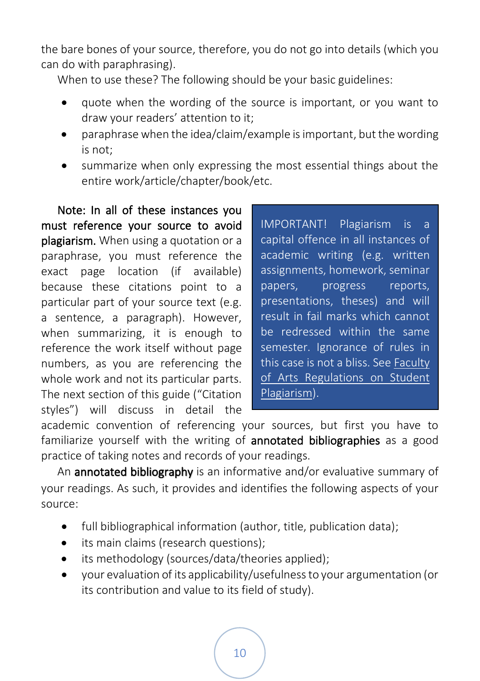the bare bones of your source, therefore, you do not go into details (which you can do with paraphrasing).

When to use these? The following should be your basic guidelines:

- quote when the wording of the source is important, or you want to draw your readers' attention to it;
- paraphrase when the idea/claim/example is important, but the wording is not;
- summarize when only expressing the most essential things about the entire work/article/chapter/book/etc.

Note: In all of these instances you must reference your source to avoid plagiarism. When using a quotation or a paraphrase, you must reference the exact page location (if available) because these citations point to a particular part of your source text (e.g. a sentence, a paragraph). However, when summarizing, it is enough to reference the work itself without page numbers, as you are referencing the whole work and not its particular parts. The next section of this guide ("Citation styles") will discuss in detail the

IMPORTANT! Plagiarism is a capital offence in all instances of academic writing (e.g. written assignments, homework, seminar papers, progress reports, presentations, theses) and will result in fail marks which cannot be redressed within the same semester. Ignorance of rules in this case is not a bliss. Se[e Faculty](http://www.ieas-szeged.hu/download/Faculty_of_Arts_Regulations_on_Student_Plagiarism.pdf)  [of Arts Regulations on Student](http://www.ieas-szeged.hu/download/Faculty_of_Arts_Regulations_on_Student_Plagiarism.pdf)  [Plagiarism\)](http://www.ieas-szeged.hu/download/Faculty_of_Arts_Regulations_on_Student_Plagiarism.pdf).

academic convention of referencing your sources, but first you have to familiarize yourself with the writing of **annotated bibliographies** as a good practice of taking notes and records of your readings.

An **annotated bibliography** is an informative and/or evaluative summary of your readings. As such, it provides and identifies the following aspects of your source:

- full bibliographical information (author, title, publication data);
- its main claims (research questions);
- its methodology (sources/data/theories applied);
- your evaluation of its applicability/usefulness to your argumentation (or its contribution and value to its field of study).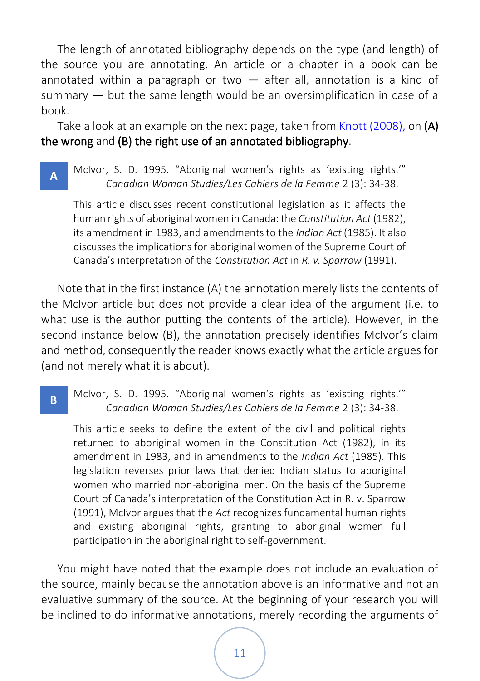The length of annotated bibliography depends on the type (and length) of the source you are annotating. An article or a chapter in a book can be annotated within a paragraph or two  $-$  after all, annotation is a kind of summary — but the same length would be an oversimplification in case of a book.

Take a look at an example on the next page, taken fro[m Knott \(2008\)](http://hswriting.library.utoronto.ca/index.php/hswriting/article/view/3326/1451), on (A) the wrong and (B) the right use of an annotated bibliography.

McIvor, S. D. 1995. "Aboriginal women's rights as 'existing rights.'" *Canadian Woman Studies/Les Cahiers de la Femme* 2 (3): 34-38. **A**

This article discusses recent constitutional legislation as it affects the human rights of aboriginal women in Canada: the *Constitution Act* (1982), its amendment in 1983, and amendments to the *Indian Act* (1985). It also discusses the implications for aboriginal women of the Supreme Court of Canada's interpretation of the *Constitution Act* in *R. v. Sparrow* (1991).

Note that in the first instance (A) the annotation merely lists the contents of the McIvor article but does not provide a clear idea of the argument (i.e. to what use is the author putting the contents of the article). However, in the second instance below (B), the annotation precisely identifies McIvor's claim and method, consequently the reader knows exactly what the article argues for (and not merely what it is about).

#### McIvor, S. D. 1995. "Aboriginal women's rights as 'existing rights.'" *Canadian Woman Studies/Les Cahiers de la Femme* 2 (3): 34-38. **B**

This article seeks to define the extent of the civil and political rights returned to aboriginal women in the Constitution Act (1982), in its amendment in 1983, and in amendments to the *Indian Act* (1985). This legislation reverses prior laws that denied Indian status to aboriginal women who married non-aboriginal men. On the basis of the Supreme Court of Canada's interpretation of the Constitution Act in R. v. Sparrow (1991), McIvor argues that the *Act* recognizes fundamental human rights and existing aboriginal rights, granting to aboriginal women full participation in the aboriginal right to self-government.

You might have noted that the example does not include an evaluation of the source, mainly because the annotation above is an informative and not an evaluative summary of the source. At the beginning of your research you will be inclined to do informative annotations, merely recording the arguments of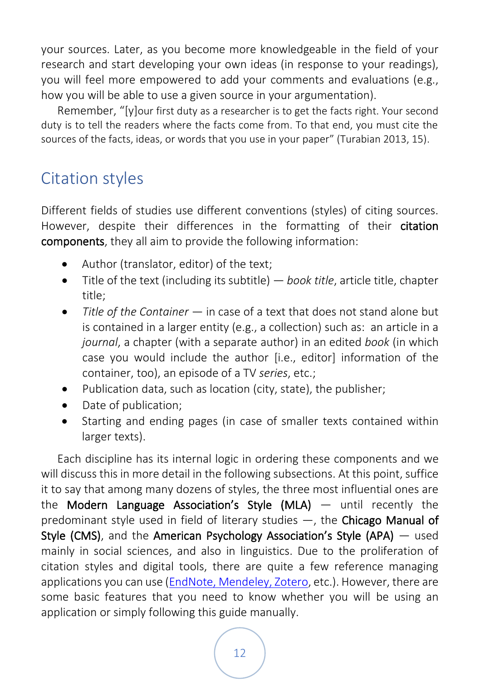your sources. Later, as you become more knowledgeable in the field of your research and start developing your own ideas (in response to your readings), you will feel more empowered to add your comments and evaluations (e.g., how you will be able to use a given source in your argumentation).

Remember, "[y]our first duty as a researcher is to get the facts right. Your second duty is to tell the readers where the facts come from. To that end, you must cite the sources of the facts, ideas, or words that you use in your paper" (Turabian 2013, 15).

## <span id="page-16-0"></span>Citation styles

Different fields of studies use different conventions (styles) of citing sources. However, despite their differences in the formatting of their citation components, they all aim to provide the following information:

- Author (translator, editor) of the text;
- Title of the text (including its subtitle) *book title*, article title, chapter title;
- *Title of the Container* in case of a text that does not stand alone but is contained in a larger entity (e.g., a collection) such as: an article in a *journal*, a chapter (with a separate author) in an edited *book* (in which case you would include the author [i.e., editor] information of the container, too), an episode of a TV *series*, etc.;
- Publication data, such as location (city, state), the publisher;
- Date of publication;
- Starting and ending pages (in case of smaller texts contained within larger texts).

Each discipline has its internal logic in ordering these components and we will discuss this in more detail in the following subsections. At this point, suffice it to say that among many dozens of styles, the three most influential ones are the Modern Language Association's Style  $(MLA)$  — until recently the predominant style used in field of literary studies —, the Chicago Manual of Style (CMS), and the American Psychology Association's Style (APA) — used mainly in social sciences, and also in linguistics. Due to the proliferation of citation styles and digital tools, there are quite a few reference managing applications you can use [\(EndNote, Mendeley, Zotero,](https://umb.libguides.com/managecitations) etc.). However, there are some basic features that you need to know whether you will be using an application or simply following this guide manually.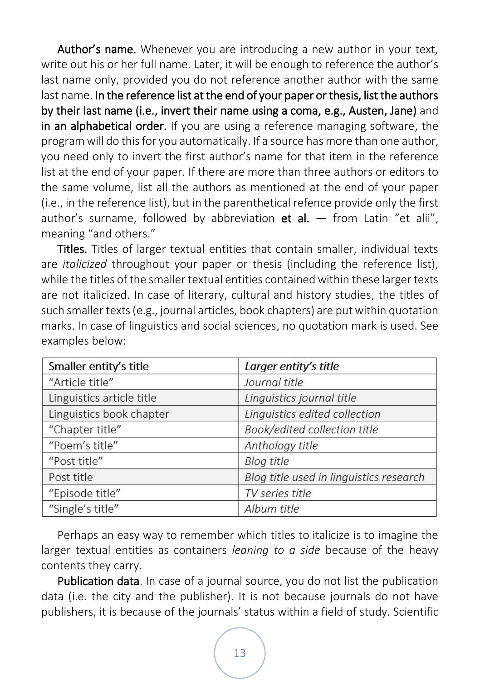Author's name. Whenever you are introducing a new author in your text, write out his or her full name. Later, it will be enough to reference the author's last name only, provided you do not reference another author with the same last name. In the reference list at the end of your paper or thesis, list the authors by their last name (i.e., invert their name using a coma, e.g., Austen, Jane) and in an alphabetical order. If you are using a reference managing software, the program will do this for you automatically. If a source has more than one author, you need only to invert the first author's name for that item in the reference list at the end of your paper. If there are more than three authors or editors to the same volume, list all the authors as mentioned at the end of your paper (i.e., in the reference list), but in the parenthetical refence provide only the first author's surname, followed by abbreviation et al.  $-$  from Latin "et alii", meaning "and others."

Titles. Titles of larger textual entities that contain smaller, individual texts are *italicized* throughout your paper or thesis (including the reference list), while the titles of the smaller textual entities contained within these larger texts are not italicized. In case of literary, cultural and history studies, the titles of such smaller texts (e.g., journal articles, book chapters) are put within quotation marks. In case of linguistics and social sciences, no quotation mark is used. See examples below:

| Smaller entity's title    | Larger entity's title                   |
|---------------------------|-----------------------------------------|
| "Article title"           | Journal title                           |
| Linguistics article title | Linguistics journal title               |
| Linguistics book chapter  | Linguistics edited collection           |
| "Chapter title"           | Book/edited collection title            |
| "Poem's title"            | Anthology title                         |
| "Post title"              | <b>Blog title</b>                       |
| Post title                | Blog title used in linguistics research |
| "Episode title"           | TV series title                         |
| "Single's title"          | Album title                             |

Perhaps an easy way to remember which titles to italicize is to imagine the larger textual entities as containers *leaning to a side* because of the heavy contents they carry.

Publication data. In case of a journal source, you do not list the publication data (i.e. the city and the publisher). It is not because journals do not have publishers, it is because of the journals' status within a field of study. Scientific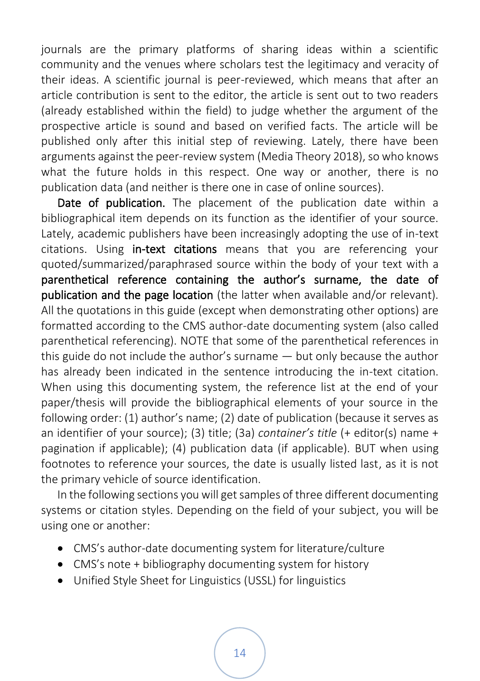journals are the primary platforms of sharing ideas within a scientific community and the venues where scholars test the legitimacy and veracity of their ideas. A scientific journal is peer-reviewed, which means that after an article contribution is sent to the editor, the article is sent out to two readers (already established within the field) to judge whether the argument of the prospective article is sound and based on verified facts. The article will be published only after this initial step of reviewing. Lately, there have been arguments against the peer-review system (Media Theory 2018), so who knows what the future holds in this respect. One way or another, there is no publication data (and neither is there one in case of online sources).

Date of publication. The placement of the publication date within a bibliographical item depends on its function as the identifier of your source. Lately, academic publishers have been increasingly adopting the use of in-text citations. Using in-text citations means that you are referencing your quoted/summarized/paraphrased source within the body of your text with a parenthetical reference containing the author's surname, the date of publication and the page location (the latter when available and/or relevant). All the quotations in this guide (except when demonstrating other options) are formatted according to the CMS author-date documenting system (also called parenthetical referencing). NOTE that some of the parenthetical references in this guide do not include the author's surname — but only because the author has already been indicated in the sentence introducing the in-text citation. When using this documenting system, the reference list at the end of your paper/thesis will provide the bibliographical elements of your source in the following order: (1) author's name; (2) date of publication (because it serves as an identifier of your source); (3) title; (3a) *container's title* (+ editor(s) name + pagination if applicable); (4) publication data (if applicable). BUT when using footnotes to reference your sources, the date is usually listed last, as it is not the primary vehicle of source identification.

In the following sections you will get samples of three different documenting systems or citation styles. Depending on the field of your subject, you will be using one or another:

- CMS's author-date documenting system for literature/culture
- CMS's note + bibliography documenting system for history
- Unified Style Sheet for Linguistics (USSL) for linguistics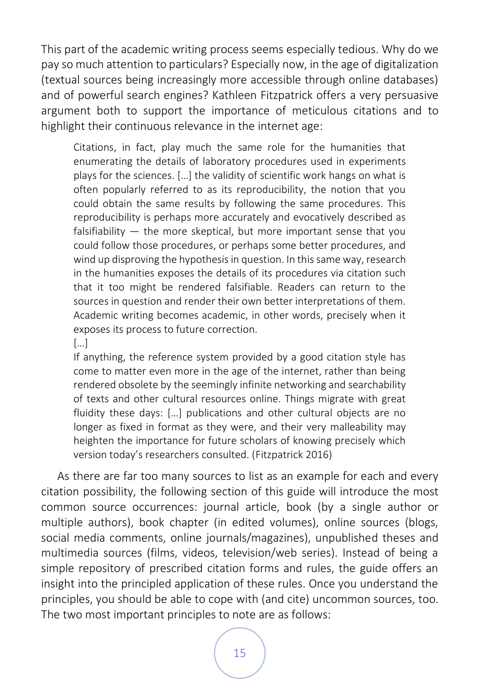This part of the academic writing process seems especially tedious. Why do we pay so much attention to particulars? Especially now, in the age of digitalization (textual sources being increasingly more accessible through online databases) and of powerful search engines? Kathleen Fitzpatrick offers a very persuasive argument both to support the importance of meticulous citations and to highlight their continuous relevance in the internet age:

Citations, in fact, play much the same role for the humanities that enumerating the details of laboratory procedures used in experiments plays for the sciences. […] the validity of scientific work hangs on what is often popularly referred to as its reproducibility, the notion that you could obtain the same results by following the same procedures. This reproducibility is perhaps more accurately and evocatively described as falsifiability — the more skeptical, but more important sense that you could follow those procedures, or perhaps some better procedures, and wind up disproving the hypothesis in question. In this same way, research in the humanities exposes the details of its procedures via citation such that it too might be rendered falsifiable. Readers can return to the sources in question and render their own better interpretations of them. Academic writing becomes academic, in other words, precisely when it exposes its process to future correction.

[…]

If anything, the reference system provided by a good citation style has come to matter even more in the age of the internet, rather than being rendered obsolete by the seemingly infinite networking and searchability of texts and other cultural resources online. Things migrate with great fluidity these days: […] publications and other cultural objects are no longer as fixed in format as they were, and their very malleability may heighten the importance for future scholars of knowing precisely which version today's researchers consulted. (Fitzpatrick 2016)

As there are far too many sources to list as an example for each and every citation possibility, the following section of this guide will introduce the most common source occurrences: journal article, book (by a single author or multiple authors), book chapter (in edited volumes), online sources (blogs, social media comments, online journals/magazines), unpublished theses and multimedia sources (films, videos, television/web series). Instead of being a simple repository of prescribed citation forms and rules, the guide offers an insight into the principled application of these rules. Once you understand the principles, you should be able to cope with (and cite) uncommon sources, too. The two most important principles to note are as follows: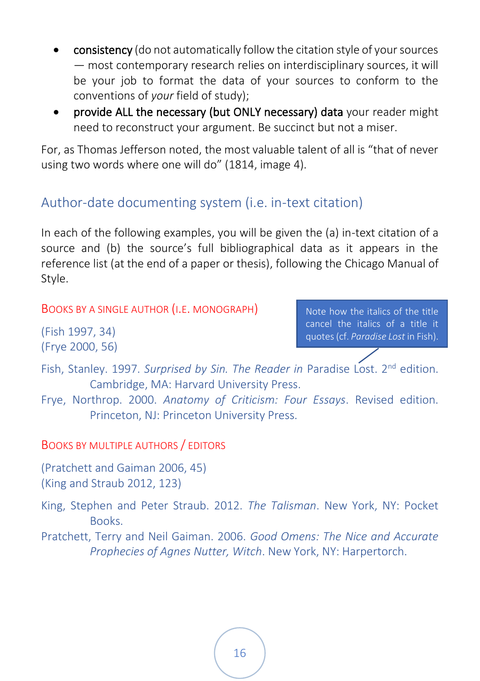- consistency (do not automatically follow the citation style of your sources — most contemporary research relies on interdisciplinary sources, it will be your job to format the data of your sources to conform to the conventions of *your* field of study);
- provide ALL the necessary (but ONLY necessary) data your reader might need to reconstruct your argument. Be succinct but not a miser.

For, as Thomas Jefferson noted, the most valuable talent of all is "that of never using two words where one will do" (1814, image 4).

#### <span id="page-20-0"></span>Author-date documenting system (i.e. in-text citation)

In each of the following examples, you will be given the (a) in-text citation of a source and (b) the source's full bibliographical data as it appears in the reference list (at the end of a paper or thesis), following the Chicago Manual of Style.

<span id="page-20-1"></span>BOOKS BY A SINGLE AUTHOR (I.E. MONOGRAPH)

(Fish 1997, 34) (Frye 2000, 56) Note how the italics of the title cancel the italics of a title it quotes (cf. *Paradise Lost* in Fish).

- Fish, Stanley. 1997. *Surprised by Sin. The Reader in* Paradise Lost. 2nd edition. Cambridge, MA: Harvard University Press.
- Frye, Northrop. 2000. *Anatomy of Criticism: Four Essays*. Revised edition. Princeton, NJ: Princeton University Press.

<span id="page-20-2"></span>BOOKS BY MULTIPLE AUTHORS / EDITORS

(Pratchett and Gaiman 2006, 45) (King and Straub 2012, 123)

- King, Stephen and Peter Straub. 2012. *The Talisman*. New York, NY: Pocket Books.
- Pratchett, Terry and Neil Gaiman. 2006. *Good Omens: The Nice and Accurate Prophecies of Agnes Nutter, Witch*. New York, NY: Harpertorch.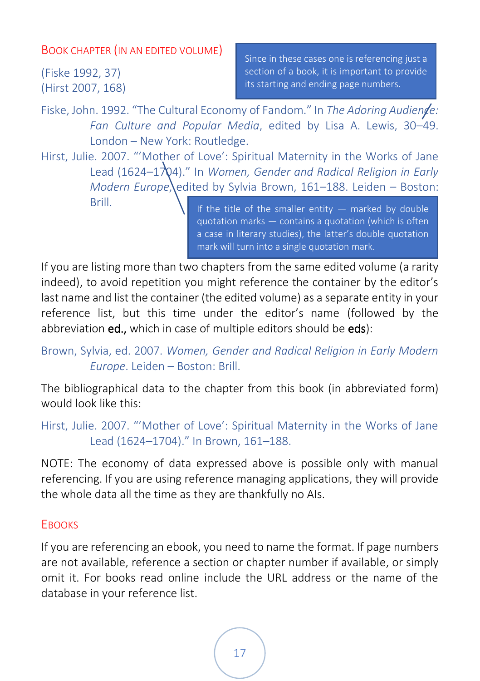#### <span id="page-21-0"></span>BOOK CHAPTER (IN AN EDITED VOLUME)

(Fiske 1992, 37) (Hirst 2007, 168)

Since in these cases one is referencing just a section of a book, it is important to provide its starting and ending page numbers.

Fiske, John. 1992. "The Cultural Economy of Fandom." In *The Adoring Audiende: Fan Culture and Popular Media*, edited by Lisa A. Lewis, 30–49. London – New York: Routledge.

Hirst, Julie. 2007. "'Mother of Love': Spiritual Maternity in the Works of Jane Lead (1624–1704)." In *Women, Gender and Radical Religion in Early Modern Europe*, edited by Sylvia Brown, 161–188. Leiden – Boston: Brill.

If the title of the smaller entity  $-$  marked by double quotation marks — contains a quotation (which is often a case in literary studies), the latter's double quotation mark will turn into a single quotation mark.

If you are listing more than two chapters from the same edited volume (a rarity indeed), to avoid repetition you might reference the container by the editor's last name and list the container (the edited volume) as a separate entity in your reference list, but this time under the editor's name (followed by the abbreviation ed., which in case of multiple editors should be eds):

```
Brown, Sylvia, ed. 2007. Women, Gender and Radical Religion in Early Modern 
         Europe. Leiden – Boston: Brill.
```
The bibliographical data to the chapter from this book (in abbreviated form) would look like this:

```
Hirst, Julie. 2007. "'Mother of Love': Spiritual Maternity in the Works of Jane 
         Lead (1624–1704)." In Brown, 161–188.
```
NOTE: The economy of data expressed above is possible only with manual referencing. If you are using reference managing applications, they will provide the whole data all the time as they are thankfully no AIs.

#### <span id="page-21-1"></span>**EBOOKS**

If you are referencing an ebook, you need to name the format. If page numbers are not available, reference a section or chapter number if available, or simply omit it. For books read online include the URL address or the name of the database in your reference list.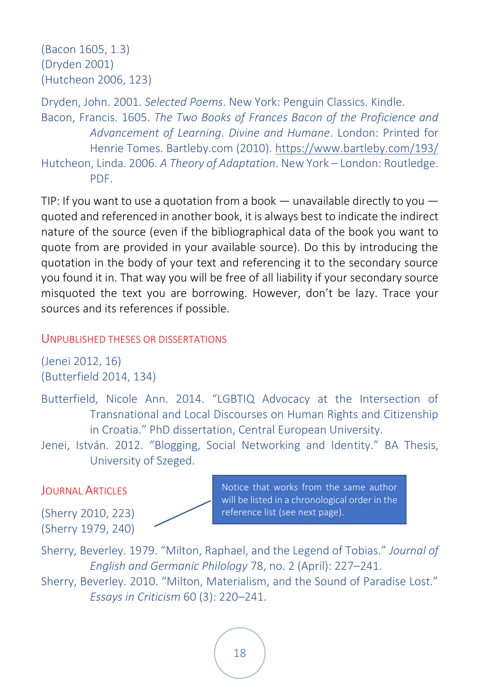```
(Bacon 1605, 1.3)
(Dryden 2001)
(Hutcheon 2006, 123)
```
Dryden, John. 2001. *Selected Poems*. New York: Penguin Classics. Kindle. Bacon, Francis. 1605. *The Two Books of Frances Bacon of the Proficience and Advancement of Learning. Divine and Humane*. London: Printed for Henrie Tomes. Bartleby.com (2010)[. https://www.bartleby.com/193/](https://www.bartleby.com/193/) Hutcheon, Linda. 2006. *A Theory of Adaptation*. New York – London: Routledge. PDF.

TIP: If you want to use a quotation from a book  $-$  unavailable directly to you  $$ quoted and referenced in another book, it is always best to indicate the indirect nature of the source (even if the bibliographical data of the book you want to quote from are provided in your available source). Do this by introducing the quotation in the body of your text and referencing it to the secondary source you found it in. That way you will be free of all liability if your secondary source misquoted the text you are borrowing. However, don't be lazy. Trace your sources and its references if possible.

#### <span id="page-22-0"></span>UNPUBLISHED THESES OR DISSERTATIONS

(Jenei 2012, 16) (Butterfield 2014, 134)

Butterfield, Nicole Ann. 2014. "LGBTIQ Advocacy at the Intersection of Transnational and Local Discourses on Human Rights and Citizenship in Croatia." PhD dissertation, Central European University.

Jenei, István. 2012. "Blogging, Social Networking and Identity." BA Thesis, University of Szeged.

#### <span id="page-22-1"></span>**JOURNAL ARTICLES**

(Sherry 2010, 223) (Sherry 1979, 240)

Notice that works from the same author will be listed in a chronological order in the reference list (see next page).

Sherry, Beverley. 1979. "Milton, Raphael, and the Legend of Tobias." *Journal of English and Germanic Philology* 78, no. 2 (April): 227–241. Sherry, Beverley. 2010. "Milton, Materialism, and the Sound of Paradise Lost."

*Essays in Criticism* 60 (3): 220–241.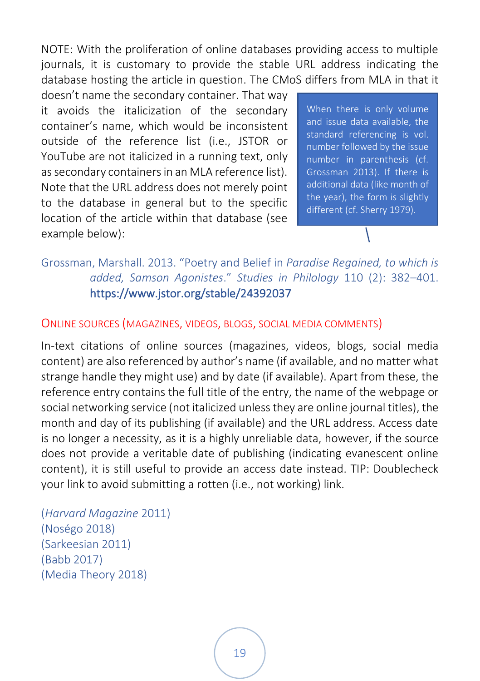NOTE: With the proliferation of online databases providing access to multiple journals, it is customary to provide the stable URL address indicating the database hosting the article in question. The CMoS differs from MLA in that it

doesn't name the secondary container. That way it avoids the italicization of the secondary container's name, which would be inconsistent outside of the reference list (i.e., JSTOR or YouTube are not italicized in a running text, only as secondary containers in an MLA reference list). Note that the URL address does not merely point to the database in general but to the specific location of the article within that database (see example below):

When there is only volume and issue data available, the standard referencing is vol. number followed by the issue number in parenthesis (cf. Grossman 2013). If there is additional data (like month of the year), the form is slightly different (cf. Sherry 1979).

#### Grossman, Marshall. 2013. "Poetry and Belief in *Paradise Regained, to which is added, Samson Agonistes*." *Studies in Philology* 110 (2): 382–401. https://www.jstor.org/stable/24392037

#### <span id="page-23-0"></span>ONLINE SOURCES (MAGAZINES, VIDEOS, BLOGS, SOCIAL MEDIA COMMENTS)

In-text citations of online sources (magazines, videos, blogs, social media content) are also referenced by author's name (if available, and no matter what strange handle they might use) and by date (if available). Apart from these, the reference entry contains the full title of the entry, the name of the webpage or social networking service (not italicized unless they are online journal titles), the month and day of its publishing (if available) and the URL address. Access date is no longer a necessity, as it is a highly unreliable data, however, if the source does not provide a veritable date of publishing (indicating evanescent online content), it is still useful to provide an access date instead. TIP: Doublecheck your link to avoid submitting a rotten (i.e., not working) link.

(*Harvard Magazine* 2011) (Noségo 2018) (Sarkeesian 2011) (Babb 2017) (Media Theory 2018)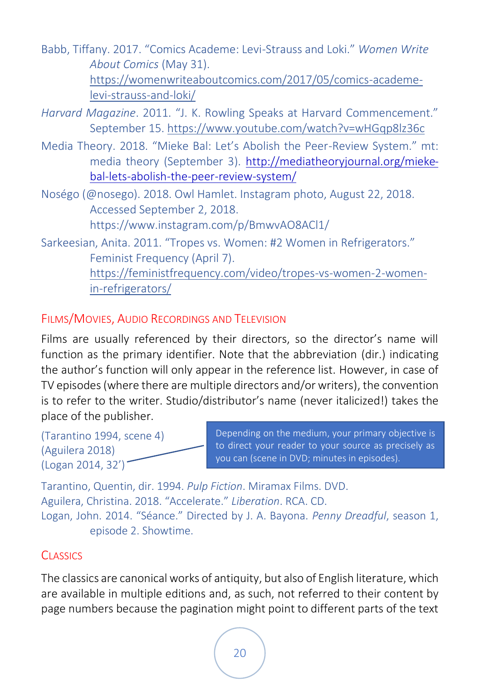Babb, Tiffany. 2017. "Comics Academe: Levi-Strauss and Loki." *Women Write About Comics* (May 31). [https://womenwriteaboutcomics.com/2017/05/comics-academe](https://womenwriteaboutcomics.com/2017/05/comics-academe-levi-strauss-and-loki/)[levi-strauss-and-loki/](https://womenwriteaboutcomics.com/2017/05/comics-academe-levi-strauss-and-loki/)

*Harvard Magazine*. 2011. "J. K. Rowling Speaks at Harvard Commencement." September 15.<https://www.youtube.com/watch?v=wHGqp8lz36c>

Media Theory. 2018. "Mieke Bal: Let's Abolish the Peer-Review System." mt: media theory (September 3). [http://mediatheoryjournal.org/mieke](http://mediatheoryjournal.org/mieke-bal-lets-abolish-the-peer-review-system/)[bal-lets-abolish-the-peer-review-system/](http://mediatheoryjournal.org/mieke-bal-lets-abolish-the-peer-review-system/)

Noségo (@nosego). 2018. Owl Hamlet. Instagram photo, August 22, 2018. Accessed September 2, 2018. https://www.instagram.com/p/BmwvAO8ACl1/

Sarkeesian, Anita. 2011. "Tropes vs. Women: #2 Women in Refrigerators." Feminist Frequency (April 7). [https://feministfrequency.com/video/tropes-vs-women-2-women](https://feministfrequency.com/video/tropes-vs-women-2-women-in-refrigerators/)[in-refrigerators/](https://feministfrequency.com/video/tropes-vs-women-2-women-in-refrigerators/)

#### <span id="page-24-0"></span>FILMS/MOVIES, AUDIO RECORDINGS AND TELEVISION

Films are usually referenced by their directors, so the director's name will function as the primary identifier. Note that the abbreviation (dir.) indicating the author's function will only appear in the reference list. However, in case of TV episodes (where there are multiple directors and/or writers), the convention is to refer to the writer. Studio/distributor's name (never italicized!) takes the place of the publisher.

(Tarantino 1994, scene 4) (Aguilera 2018) (Logan 2014, 32')

Depending on the medium, your primary objective is to direct your reader to your source as precisely as you can (scene in DVD; minutes in episodes).

Tarantino, Quentin, dir. 1994. *Pulp Fiction*. Miramax Films. DVD. Aguilera, Christina. 2018. "Accelerate." *Liberation*. RCA. CD. Logan, John. 2014. "Séance." Directed by J. A. Bayona. *Penny Dreadful*, season 1, episode 2. Showtime.

#### <span id="page-24-1"></span>**CLASSICS**

The classics are canonical works of antiquity, but also of English literature, which are available in multiple editions and, as such, not referred to their content by page numbers because the pagination might point to different parts of the text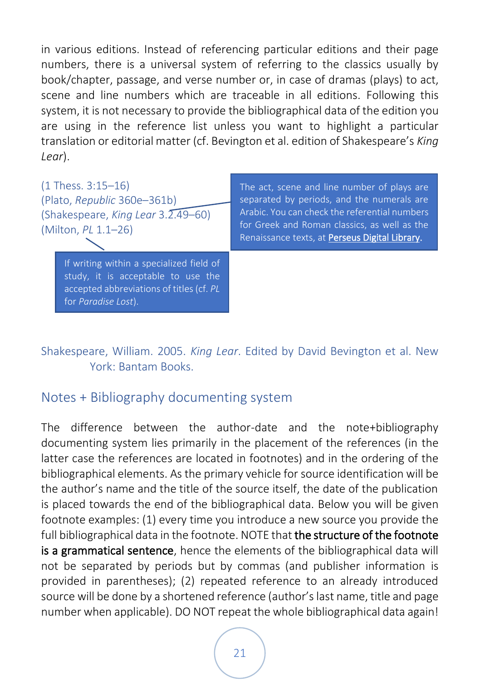in various editions. Instead of referencing particular editions and their page numbers, there is a universal system of referring to the classics usually by book/chapter, passage, and verse number or, in case of dramas (plays) to act, scene and line numbers which are traceable in all editions. Following this system, it is not necessary to provide the bibliographical data of the edition you are using in the reference list unless you want to highlight a particular translation or editorial matter (cf. Bevington et al. edition of Shakespeare's *King Lear*).

| $(1$ Thess. 3:15-16)<br>(Plato, Republic 360e-361b)<br>(Shakespeare, King Lear 3.2.49-60)<br>(Milton, PL 1.1-26)                                  | The act, scene and line number of plays are<br>separated by periods, and the numerals are<br>Arabic. You can check the referential numbers<br>for Greek and Roman classics, as well as the<br>Renaissance texts, at Perseus Digital Library. |
|---------------------------------------------------------------------------------------------------------------------------------------------------|----------------------------------------------------------------------------------------------------------------------------------------------------------------------------------------------------------------------------------------------|
| If writing within a specialized field of<br>study, it is acceptable to use the<br>accepted abbreviations of titles (cf. PL<br>for Paradise Lost). |                                                                                                                                                                                                                                              |

Shakespeare, William. 2005. *King Lear*. Edited by David Bevington et al. New York: Bantam Books.

#### <span id="page-25-0"></span>Notes + Bibliography documenting system

The difference between the author-date and the note+bibliography documenting system lies primarily in the placement of the references (in the latter case the references are located in footnotes) and in the ordering of the bibliographical elements. As the primary vehicle for source identification will be the author's name and the title of the source itself, the date of the publication is placed towards the end of the bibliographical data. Below you will be given footnote examples: (1) every time you introduce a new source you provide the full bibliographical data in the footnote. NOTE that the structure of the footnote is a grammatical sentence, hence the elements of the bibliographical data will not be separated by periods but by commas (and publisher information is provided in parentheses); (2) repeated reference to an already introduced source will be done by a shortened reference (author's last name, title and page number when applicable). DO NOT repeat the whole bibliographical data again!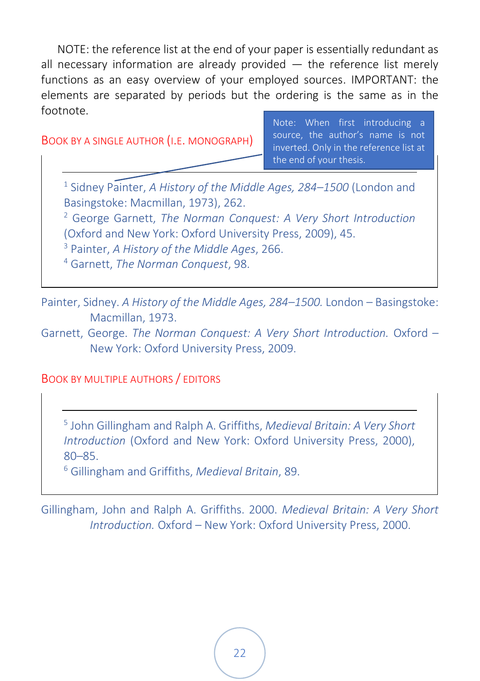NOTE: the reference list at the end of your paper is essentially redundant as all necessary information are already provided  $-$  the reference list merely functions as an easy overview of your employed sources. IMPORTANT: the elements are separated by periods but the ordering is the same as in the footnote.

<span id="page-26-0"></span>BOOK BY A SINGLE AUTHOR (I.E. MONOGRAPH)

Note: When first introducing a source, the author's name is not inverted. Only in the reference list at the end of your thesis.

1 Sidney Painter, *A History of the Middle Ages, 284–1500* (London and Basingstoke: Macmillan, 1973), 262.

<sup>2</sup> George Garnett, *The Norman Conquest: A Very Short Introduction* (Oxford and New York: Oxford University Press, 2009), 45.

<sup>3</sup> Painter, *A History of the Middle Ages*, 266.

<sup>4</sup> Garnett, *The Norman Conquest*, 98.

Painter, Sidney. *A History of the Middle Ages, 284–1500.* London – Basingstoke: Macmillan, 1973.

Garnett, George. *The Norman Conquest: A Very Short Introduction.* Oxford – New York: Oxford University Press, 2009.

<span id="page-26-1"></span>BOOK BY MULTIPLE AUTHORS / EDITORS

5 John Gillingham and Ralph A. Griffiths, *Medieval Britain: A Very Short Introduction* (Oxford and New York: Oxford University Press, 2000), 80–85.

<sup>6</sup> Gillingham and Griffiths, *Medieval Britain*, 89.

Gillingham, John and Ralph A. Griffiths. 2000. *Medieval Britain: A Very Short Introduction.* Oxford – New York: Oxford University Press, 2000.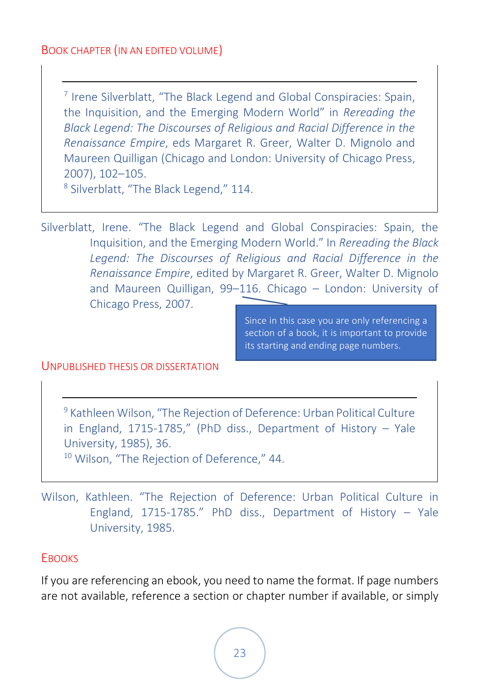#### <span id="page-27-0"></span>BOOK CHAPTER (IN AN EDITED VOLUME)

7 Irene Silverblatt, "The Black Legend and Global Conspiracies: Spain, the Inquisition, and the Emerging Modern World" in *Rereading the Black Legend: The Discourses of Religious and Racial Difference in the Renaissance Empire*, eds Margaret R. Greer, Walter D. Mignolo and Maureen Quilligan (Chicago and London: University of Chicago Press, 2007), 102–105.

8 Silverblatt, "The Black Legend," 114.

Silverblatt, Irene. "The Black Legend and Global Conspiracies: Spain, the Inquisition, and the Emerging Modern World." In *Rereading the Black Legend: The Discourses of Religious and Racial Difference in the Renaissance Empire*, edited by Margaret R. Greer, Walter D. Mignolo and Maureen Quilligan, 99–116. Chicago – London: University of Chicago Press, 2007.

> Since in this case you are only referencing a section of a book, it is important to provide its starting and ending page numbers.

#### <span id="page-27-1"></span>UNPUBLISHED THESIS OR DISSERTATION

<sup>9</sup> Kathleen Wilson, "The Rejection of Deference: Urban Political Culture in England, 1715-1785," (PhD diss., Department of History – Yale University, 1985), 36. <sup>10</sup> Wilson, "The Rejection of Deference," 44.

Wilson, Kathleen. "The Rejection of Deference: Urban Political Culture in England, 1715-1785." PhD diss., Department of History – Yale University, 1985.

#### <span id="page-27-2"></span>**EBOOKS**

If you are referencing an ebook, you need to name the format. If page numbers are not available, reference a section or chapter number if available, or simply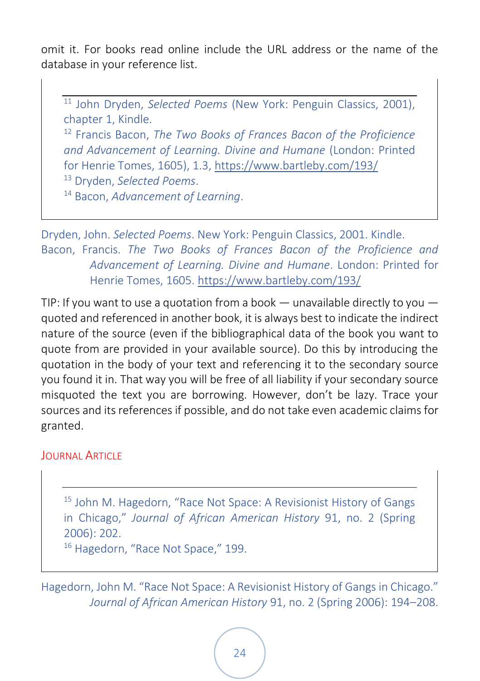omit it. For books read online include the URL address or the name of the database in your reference list.

<sup>11</sup> John Dryden, *Selected Poems* (New York: Penguin Classics, 2001), chapter 1, Kindle.

<sup>12</sup> Francis Bacon, *The Two Books of Frances Bacon of the Proficience and Advancement of Learning. Divine and Humane* (London: Printed for Henrie Tomes, 1605), 1.3[, https://www.bartleby.com/193/](https://www.bartleby.com/193/)

<sup>13</sup> Dryden, *Selected Poems*.

<sup>14</sup> Bacon, *Advancement of Learning*.

Dryden, John. *Selected Poems*. New York: Penguin Classics, 2001. Kindle. Bacon, Francis. *The Two Books of Frances Bacon of the Proficience and Advancement of Learning. Divine and Humane*. London: Printed for Henrie Tomes, 1605[. https://www.bartleby.com/193/](https://www.bartleby.com/193/)

TIP: If you want to use a quotation from a book  $-$  unavailable directly to you  $$ quoted and referenced in another book, it is always best to indicate the indirect nature of the source (even if the bibliographical data of the book you want to quote from are provided in your available source). Do this by introducing the quotation in the body of your text and referencing it to the secondary source you found it in. That way you will be free of all liability if your secondary source misquoted the text you are borrowing. However, don't be lazy. Trace your sources and its references if possible, and do not take even academic claims for granted.

#### <span id="page-28-0"></span>**JOURNAL ARTICLE**

<sup>15</sup> John M. Hagedorn, "Race Not Space: A Revisionist History of Gangs in Chicago," *Journal of African American History* 91, no. 2 (Spring 2006): 202.

<sup>16</sup> Hagedorn, "Race Not Space," 199.

Hagedorn, John M. "Race Not Space: A Revisionist History of Gangs in Chicago." *Journal of African American History* 91, no. 2 (Spring 2006): 194–208.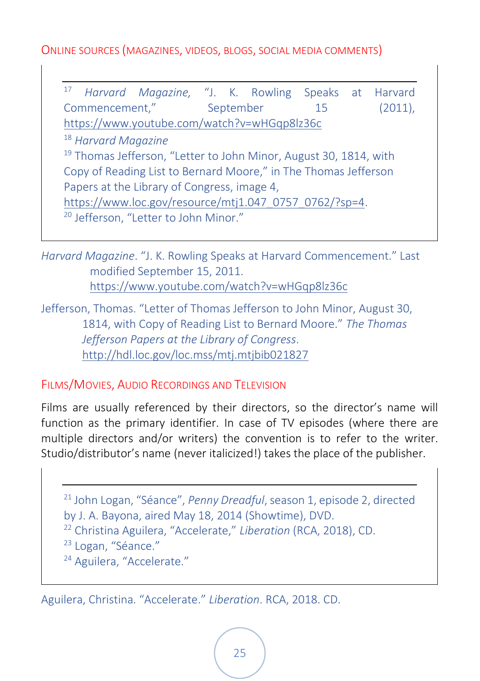<span id="page-29-0"></span>ONLINE SOURCES (MAGAZINES, VIDEOS, BLOGS, SOCIAL MEDIA COMMENTS)

<sup>17</sup> *Harvard Magazine,* "J. K. Rowling Speaks at Harvard Commencement," September 15 (2011), <https://www.youtube.com/watch?v=wHGqp8lz36c> <sup>18</sup> *Harvard Magazine* <sup>19</sup> Thomas Jefferson, "Letter to John Minor, August 30, 1814, with Copy of Reading List to Bernard Moore," in The Thomas Jefferson Papers at the Library of Congress, image 4, [https://www.loc.gov/resource/mtj1.047\\_0757\\_0762/?sp=4.](https://www.loc.gov/resource/mtj1.047_0757_0762/?sp=4) <sup>20</sup> Jefferson, "Letter to John Minor."

*Harvard Magazine*. "J. K. Rowling Speaks at Harvard Commencement." Last modified September 15, 2011. <https://www.youtube.com/watch?v=wHGqp8lz36c>

Jefferson, Thomas. "Letter of Thomas Jefferson to John Minor, August 30, 1814, with Copy of Reading List to Bernard Moore." *The Thomas Jefferson Papers at the Library of Congress*. <http://hdl.loc.gov/loc.mss/mtj.mtjbib021827>

<span id="page-29-1"></span>FILMS/MOVIES, AUDIO RECORDINGS AND TELEVISION

Films are usually referenced by their directors, so the director's name will function as the primary identifier. In case of TV episodes (where there are multiple directors and/or writers) the convention is to refer to the writer. Studio/distributor's name (never italicized!) takes the place of the publisher.

<sup>21</sup> John Logan, "Séance", *Penny Dreadful*, season 1, episode 2, directed by J. A. Bayona, aired May 18, 2014 (Showtime), DVD. <sup>22</sup> Christina Aguilera, "Accelerate," *Liberation* (RCA, 2018), CD. <sup>23</sup> Logan, "Séance." <sup>24</sup> Aguilera, "Accelerate."

Aguilera, Christina. "Accelerate." *Liberation*. RCA, 2018. CD.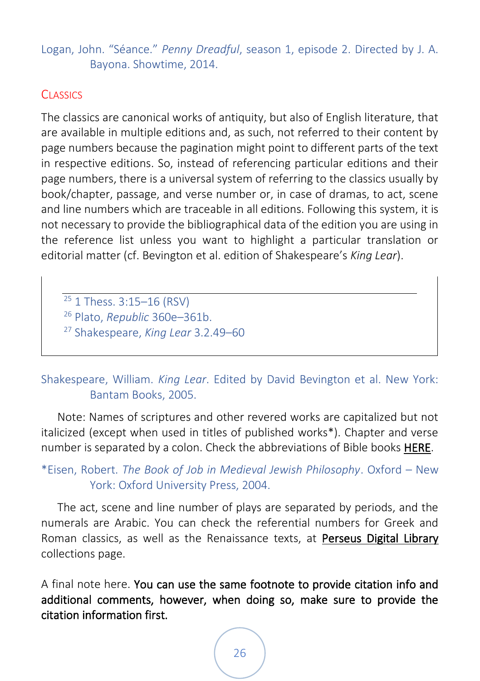#### Logan, John. "Séance." *Penny Dreadful*, season 1, episode 2. Directed by J. A. Bayona. Showtime, 2014.

#### <span id="page-30-0"></span>**CLASSICS**

The classics are canonical works of antiquity, but also of English literature, that are available in multiple editions and, as such, not referred to their content by page numbers because the pagination might point to different parts of the text in respective editions. So, instead of referencing particular editions and their page numbers, there is a universal system of referring to the classics usually by book/chapter, passage, and verse number or, in case of dramas, to act, scene and line numbers which are traceable in all editions. Following this system, it is not necessary to provide the bibliographical data of the edition you are using in the reference list unless you want to highlight a particular translation or editorial matter (cf. Bevington et al. edition of Shakespeare's *King Lear*).

<sup>25</sup> 1 Thess. 3:15-16 (RSV) <sup>26</sup> Plato, *Republic* 360e–361b. <sup>27</sup> Shakespeare, *King Lear* 3.2.49–60

#### Shakespeare, William. *King Lear*. Edited by David Bevington et al. New York: Bantam Books, 2005.

Note: Names of scriptures and other revered works are capitalized but not italicized (except when used in titles of published works\*). Chapter and verse number is separated by a colon. Check the abbreviations of Bible books [HERE.](http://hbl.gcc.libguides.com/BibleAbbrevChicago)

\*Eisen, Robert. *The Book of Job in Medieval Jewish Philosophy*. Oxford – New York: Oxford University Press, 2004.

The act, scene and line number of plays are separated by periods, and the numerals are Arabic. You can check the referential numbers for Greek and Roman classics, as well as the Renaissance texts, at [Perseus Digital Library](http://www.perseus.tufts.edu/hopper/collections)  collections page.

A final note here. You can use the same footnote to provide citation info and additional comments, however, when doing so, make sure to provide the citation information first.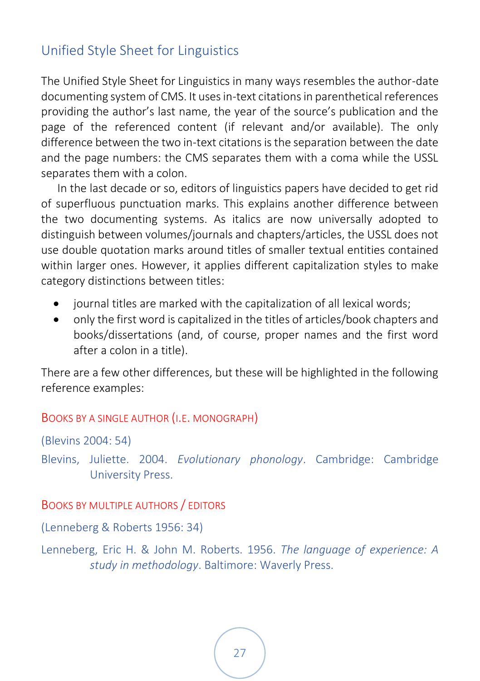### <span id="page-31-0"></span>Unified Style Sheet for Linguistics

The Unified Style Sheet for Linguistics in many ways resembles the author-date documenting system of CMS. It uses in-text citations in parenthetical references providing the author's last name, the year of the source's publication and the page of the referenced content (if relevant and/or available). The only difference between the two in-text citations is the separation between the date and the page numbers: the CMS separates them with a coma while the USSL separates them with a colon.

In the last decade or so, editors of linguistics papers have decided to get rid of superfluous punctuation marks. This explains another difference between the two documenting systems. As italics are now universally adopted to distinguish between volumes/journals and chapters/articles, the USSL does not use double quotation marks around titles of smaller textual entities contained within larger ones. However, it applies different capitalization styles to make category distinctions between titles:

- journal titles are marked with the capitalization of all lexical words;
- only the first word is capitalized in the titles of articles/book chapters and books/dissertations (and, of course, proper names and the first word after a colon in a title).

There are a few other differences, but these will be highlighted in the following reference examples:

#### <span id="page-31-1"></span>BOOKS BY A SINGLE AUTHOR (I.E. MONOGRAPH)

(Blevins 2004: 54)

Blevins, Juliette. 2004. *Evolutionary phonology*. Cambridge: Cambridge University Press.

#### <span id="page-31-2"></span>BOOKS BY MULTIPLE AUTHORS / EDITORS

(Lenneberg & Roberts 1956: 34)

Lenneberg, Eric H. & John M. Roberts. 1956. *The language of experience: A study in methodology*. Baltimore: Waverly Press.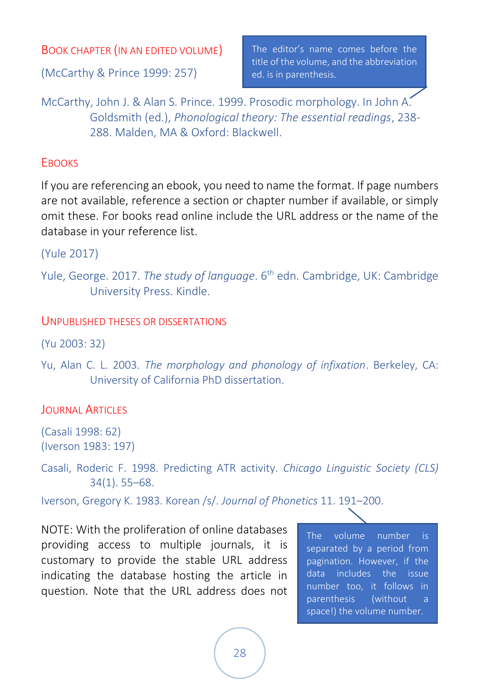#### <span id="page-32-0"></span>BOOK CHAPTER (IN AN EDITED VOLUME)

(McCarthy & Prince 1999: 257)

The editor's name comes before the title of the volume, and the abbreviation ed. is in parenthesis.

McCarthy, John J. & Alan S. Prince. 1999. Prosodic morphology. In John A. Goldsmith (ed.), *Phonological theory: The essential readings*, 238- 288. Malden, MA & Oxford: Blackwell.

#### <span id="page-32-1"></span>**FROOKS**

If you are referencing an ebook, you need to name the format. If page numbers are not available, reference a section or chapter number if available, or simply omit these. For books read online include the URL address or the name of the database in your reference list.

(Yule 2017)

#### <span id="page-32-2"></span>UNPUBLISHED THESES OR DISSERTATIONS

(Yu 2003: 32)

Yu, Alan C. L. 2003. *The morphology and phonology of infixation*. Berkeley, CA: University of California PhD dissertation.

#### <span id="page-32-3"></span>**JOURNAL ARTICLES**

(Casali 1998: 62) (Iverson 1983: 197)

Casali, Roderic F. 1998. Predicting ATR activity. *Chicago Linguistic Society (CLS)* 34(1). 55–68.

Iverson, Gregory K. 1983. Korean /s/. *Journal of Phonetics* 11. 191–200.

NOTE: With the proliferation of online databases providing access to multiple journals, it is customary to provide the stable URL address indicating the database hosting the article in question. Note that the URL address does not

The volume number is separated by a period from pagination. However, if the data includes the issue number too, it follows in parenthesis (without a space!) the volume number.

Yule, George. 2017. *The study of language*. 6<sup>th</sup> edn. Cambridge, UK: Cambridge University Press. Kindle.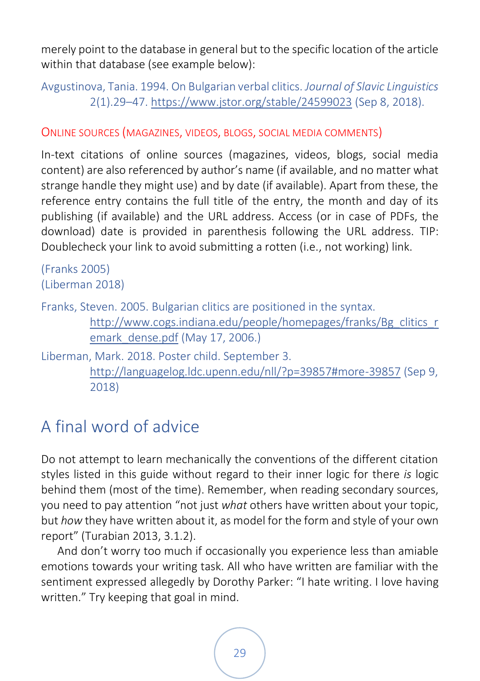merely point to the database in general but to the specific location of the article within that database (see example below):

Avgustinova, Tania. 1994. On Bulgarian verbal clitics. *Journal of Slavic Linguistics* 2(1).29–47.<https://www.jstor.org/stable/24599023> (Sep 8, 2018).

<span id="page-33-0"></span>ONLINE SOURCES (MAGAZINES, VIDEOS, BLOGS, SOCIAL MEDIA COMMENTS)

In-text citations of online sources (magazines, videos, blogs, social media content) are also referenced by author's name (if available, and no matter what strange handle they might use) and by date (if available). Apart from these, the reference entry contains the full title of the entry, the month and day of its publishing (if available) and the URL address. Access (or in case of PDFs, the download) date is provided in parenthesis following the URL address. TIP: Doublecheck your link to avoid submitting a rotten (i.e., not working) link.

```
(Franks 2005)
(Liberman 2018)
```

```
Franks, Steven. 2005. Bulgarian clitics are positioned in the syntax. 
         http://www.cogs.indiana.edu/people/homepages/franks/Bg_clitics_r
         emark_dense.pdf (May 17, 2006.)
```
Liberman, Mark. 2018. Poster child. September 3. <http://languagelog.ldc.upenn.edu/nll/?p=39857#more-39857> (Sep 9, 2018)

## <span id="page-33-1"></span>A final word of advice

Do not attempt to learn mechanically the conventions of the different citation styles listed in this guide without regard to their inner logic for there *is* logic behind them (most of the time). Remember, when reading secondary sources, you need to pay attention "not just *what* others have written about your topic, but *how* they have written about it, as model for the form and style of your own report" (Turabian 2013, 3.1.2).

And don't worry too much if occasionally you experience less than amiable emotions towards your writing task. All who have written are familiar with the sentiment expressed allegedly by Dorothy Parker: "I hate writing. I love having written." Try keeping that goal in mind.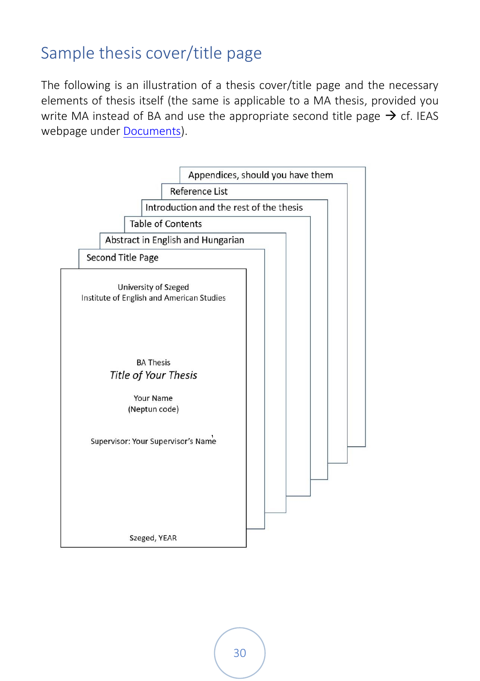## <span id="page-34-0"></span>Sample thesis cover/title page

The following is an illustration of a thesis cover/title page and the necessary elements of thesis itself (the same is applicable to a MA thesis, provided you write MA instead of BA and use the appropriate second title page  $\rightarrow$  cf. IEAS webpage unde[r Documents\)](http://www.ieas-szeged.hu/documents/).